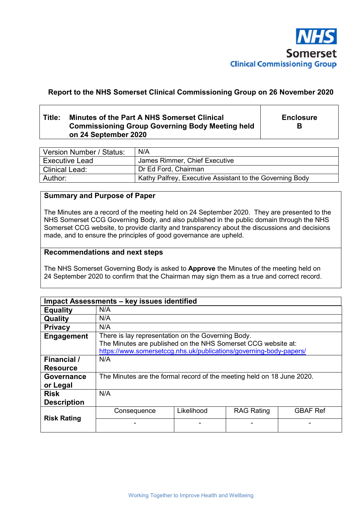

# **Report to the NHS Somerset Clinical Commissioning Group on 26 November 2020**

# **Title: Minutes of the Part A NHS Somerset Clinical Commissioning Group Governing Body Meeting held on 24 September 2020**

**Enclosure B** 

| Version Number / Status: | N/A                                                      |
|--------------------------|----------------------------------------------------------|
| <b>Executive Lead</b>    | James Rimmer, Chief Executive                            |
| Clinical Lead:           | Dr Ed Ford, Chairman                                     |
| Author:                  | Kathy Palfrey, Executive Assistant to the Governing Body |

# **Summary and Purpose of Paper**

The Minutes are a record of the meeting held on 24 September 2020. They are presented to the NHS Somerset CCG Governing Body, and also published in the public domain through the NHS Somerset CCG website, to provide clarity and transparency about the discussions and decisions made, and to ensure the principles of good governance are upheld.

### **Recommendations and next steps**

The NHS Somerset Governing Body is asked to **Approve** the Minutes of the meeting held on 24 September 2020 to confirm that the Chairman may sign them as a true and correct record.

| Impact Assessments - key issues identified |                                                                                                                                                                                           |            |                   |                 |
|--------------------------------------------|-------------------------------------------------------------------------------------------------------------------------------------------------------------------------------------------|------------|-------------------|-----------------|
| <b>Equality</b>                            | N/A                                                                                                                                                                                       |            |                   |                 |
| Quality                                    | N/A                                                                                                                                                                                       |            |                   |                 |
| <b>Privacy</b>                             | N/A                                                                                                                                                                                       |            |                   |                 |
| Engagement                                 | There is lay representation on the Governing Body.<br>The Minutes are published on the NHS Somerset CCG website at:<br>https://www.somersetccg.nhs.uk/publications/governing-body-papers/ |            |                   |                 |
| <b>Financial</b> /<br><b>Resource</b>      | N/A                                                                                                                                                                                       |            |                   |                 |
| <b>Governance</b><br>or Legal              | The Minutes are the formal record of the meeting held on 18 June 2020.                                                                                                                    |            |                   |                 |
| <b>Risk</b><br><b>Description</b>          | N/A                                                                                                                                                                                       |            |                   |                 |
| <b>Risk Rating</b>                         | Consequence                                                                                                                                                                               | Likelihood | <b>RAG Rating</b> | <b>GBAF Ref</b> |
|                                            |                                                                                                                                                                                           |            |                   |                 |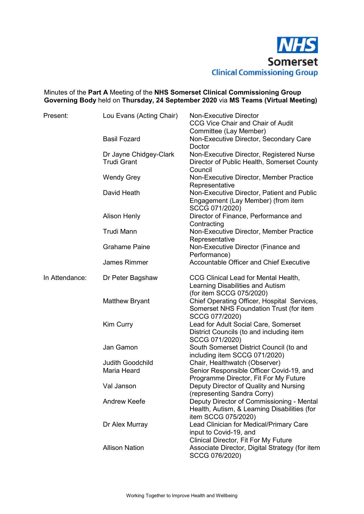

# Minutes of the **Part A** Meeting of the **NHS Somerset Clinical Commissioning Group Governing Body** held on **Thursday, 24 September 2020** via **MS Teams (Virtual Meeting)**

| Present:       | Lou Evans (Acting Chair)                     | <b>Non-Executive Director</b><br>CCG Vice Chair and Chair of Audit                                                                   |
|----------------|----------------------------------------------|--------------------------------------------------------------------------------------------------------------------------------------|
|                |                                              | Committee (Lay Member)                                                                                                               |
|                | <b>Basil Fozard</b>                          | Non-Executive Director, Secondary Care<br>Doctor                                                                                     |
|                | Dr Jayne Chidgey-Clark<br><b>Trudi Grant</b> | Non-Executive Director, Registered Nurse<br>Director of Public Health, Somerset County<br>Council                                    |
|                | <b>Wendy Grey</b>                            | Non-Executive Director, Member Practice<br>Representative                                                                            |
|                | David Heath                                  | Non-Executive Director, Patient and Public<br>Engagement (Lay Member) (from item<br>SCCG 071/2020)                                   |
|                | <b>Alison Henly</b>                          | Director of Finance, Performance and<br>Contracting                                                                                  |
|                | <b>Trudi Mann</b>                            | Non-Executive Director, Member Practice<br>Representative                                                                            |
|                | <b>Grahame Paine</b>                         | Non-Executive Director (Finance and<br>Performance)                                                                                  |
|                | <b>James Rimmer</b>                          | <b>Accountable Officer and Chief Executive</b>                                                                                       |
| In Attendance: | Dr Peter Bagshaw                             | CCG Clinical Lead for Mental Health,<br>Learning Disabilities and Autism                                                             |
|                | <b>Matthew Bryant</b>                        | (for item SCCG 075/2020)<br>Chief Operating Officer, Hospital Services,<br>Somerset NHS Foundation Trust (for item<br>SCCG 077/2020) |
|                | <b>Kim Curry</b>                             | Lead for Adult Social Care, Somerset<br>District Councils (to and including item<br>SCCG 071/2020)                                   |
|                | Jan Gamon                                    | South Somerset District Council (to and<br>including item SCCG 071/2020)                                                             |
|                | <b>Judith Goodchild</b>                      | Chair, Healthwatch (Observer)                                                                                                        |
|                | Maria Heard                                  | Senior Responsible Officer Covid-19, and                                                                                             |
|                |                                              | Programme Director, Fit For My Future                                                                                                |
|                | Val Janson                                   | Deputy Director of Quality and Nursing<br>(representing Sandra Corry)                                                                |
|                | <b>Andrew Keefe</b>                          | Deputy Director of Commissioning - Mental<br>Health, Autism, & Learning Disabilities (for                                            |
|                | Dr Alex Murray                               | item SCCG 075/2020)<br>Lead Clinician for Medical/Primary Care<br>input to Covid-19, and                                             |
|                | <b>Allison Nation</b>                        | <b>Clinical Director, Fit For My Future</b><br>Associate Director, Digital Strategy (for item<br>SCCG 076/2020)                      |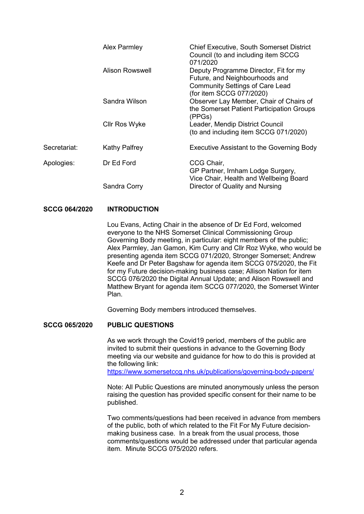|              | <b>Alex Parmley</b>  | <b>Chief Executive, South Somerset District</b><br>Council (to and including item SCCG<br>071/2020                         |
|--------------|----------------------|----------------------------------------------------------------------------------------------------------------------------|
|              | Alison Rowswell      | Deputy Programme Director, Fit for my<br>Future, and Neighbourhoods and<br><b>Community Settings of Care Lead</b>          |
|              | Sandra Wilson        | (for item SCCG 077/2020)<br>Observer Lay Member, Chair of Chairs of<br>the Somerset Patient Participation Groups<br>(PPGs) |
|              | Cllr Ros Wyke        | Leader, Mendip District Council<br>(to and including item SCCG 071/2020)                                                   |
| Secretariat: | <b>Kathy Palfrey</b> | Executive Assistant to the Governing Body                                                                                  |
| Apologies:   | Dr Ed Ford           | CCG Chair,<br>GP Partner, Irnham Lodge Surgery,<br>Vice Chair, Health and Wellbeing Board                                  |
|              | Sandra Corry         | Director of Quality and Nursing                                                                                            |

### **SCCG 064/2020 INTRODUCTION**

 Lou Evans, Acting Chair in the absence of Dr Ed Ford, welcomed everyone to the NHS Somerset Clinical Commissioning Group Governing Body meeting, in particular: eight members of the public; Alex Parmley, Jan Gamon, Kim Curry and Cllr Roz Wyke, who would be presenting agenda item SCCG 071/2020, Stronger Somerset; Andrew Keefe and Dr Peter Bagshaw for agenda item SCCG 075/2020, the Fit for my Future decision-making business case; Allison Nation for item SCCG 076/2020 the Digital Annual Update; and Alison Rowswell and Matthew Bryant for agenda item SCCG 077/2020, the Somerset Winter Plan.

Governing Body members introduced themselves.

## **SCCG 065/2020 PUBLIC QUESTIONS**

 As we work through the Covid19 period, members of the public are invited to submit their questions in advance to the Governing Body meeting via our website and guidance for how to do this is provided at the following link:

https://www.somersetccg.nhs.uk/publications/governing-body-papers/

 Note: All Public Questions are minuted anonymously unless the person raising the question has provided specific consent for their name to be published.

 Two comments/questions had been received in advance from members of the public, both of which related to the Fit For My Future decisionmaking business case. In a break from the usual process, those comments/questions would be addressed under that particular agenda item. Minute SCCG 075/2020 refers.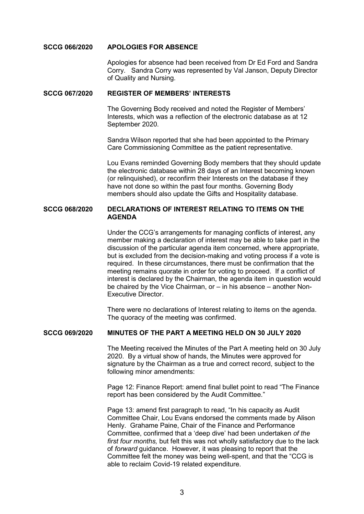#### **SCCG 066/2020 APOLOGIES FOR ABSENCE**

Apologies for absence had been received from Dr Ed Ford and Sandra Corry. Sandra Corry was represented by Val Janson, Deputy Director of Quality and Nursing.

### **SCCG 067/2020 REGISTER OF MEMBERS' INTERESTS**

 The Governing Body received and noted the Register of Members' Interests, which was a reflection of the electronic database as at 12 September 2020.

Sandra Wilson reported that she had been appointed to the Primary Care Commissioning Committee as the patient representative.

Lou Evans reminded Governing Body members that they should update the electronic database within 28 days of an Interest becoming known (or relinquished), or reconfirm their Interests on the database if they have not done so within the past four months. Governing Body members should also update the Gifts and Hospitality database.

#### **SCCG 068/2020 DECLARATIONS OF INTEREST RELATING TO ITEMS ON THE AGENDA**

 Under the CCG's arrangements for managing conflicts of interest, any member making a declaration of interest may be able to take part in the discussion of the particular agenda item concerned, where appropriate, but is excluded from the decision-making and voting process if a vote is required. In these circumstances, there must be confirmation that the meeting remains quorate in order for voting to proceed. If a conflict of interest is declared by the Chairman, the agenda item in question would be chaired by the Vice Chairman, or – in his absence – another Non-Executive Director.

 There were no declarations of Interest relating to items on the agenda. The quoracy of the meeting was confirmed.

### **SCCG 069/2020 MINUTES OF THE PART A MEETING HELD ON 30 JULY 2020**

 The Meeting received the Minutes of the Part A meeting held on 30 July 2020. By a virtual show of hands, the Minutes were approved for signature by the Chairman as a true and correct record, subject to the following minor amendments:

 Page 12: Finance Report: amend final bullet point to read "The Finance report has been considered by the Audit Committee."

 Page 13: amend first paragraph to read, "In his capacity as Audit Committee Chair, Lou Evans endorsed the comments made by Alison Henly. Grahame Paine, Chair of the Finance and Performance Committee, confirmed that a 'deep dive' had been undertaken *of the first four months,* but felt this was not wholly satisfactory due to the lack of *forward* guidance. However, it was pleasing to report that the Committee felt the money was being well-spent, and that the "CCG is able to reclaim Covid-19 related expenditure.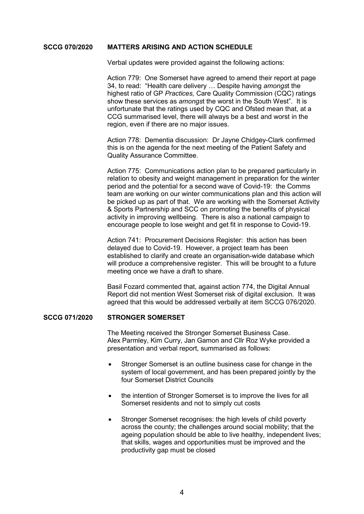### **SCCG 070/2020 MATTERS ARISING AND ACTION SCHEDULE**

Verbal updates were provided against the following actions:

 Action 779: One Somerset have agreed to amend their report at page 34, to read: "Health care delivery … Despite having *amongs*t the highest ratio of GP *Practices,* Care Quality Commission (CQC) ratings show these services as *amongs*t the worst in the South West". It is unfortunate that the ratings used by CQC and Ofsted mean that, at a CCG summarised level, there will always be a best and worst in the region, even if there are no major issues.

 Action 778: Dementia discussion: Dr Jayne Chidgey-Clark confirmed this is on the agenda for the next meeting of the Patient Safety and Quality Assurance Committee.

 Action 775: Communications action plan to be prepared particularly in relation to obesity and weight management in preparation for the winter period and the potential for a second wave of Covid-19: the Comms team are working on our winter communications plan and this action will be picked up as part of that. We are working with the Somerset Activity & Sports Partnership and SCC on promoting the benefits of physical activity in improving wellbeing. There is also a national campaign to encourage people to lose weight and get fit in response to Covid-19.

 Action 741: Procurement Decisions Register: this action has been delayed due to Covid-19. However, a project team has been established to clarify and create an organisation-wide database which will produce a comprehensive register. This will be brought to a future meeting once we have a draft to share.

 Basil Fozard commented that, against action 774, the Digital Annual Report did not mention West Somerset risk of digital exclusion. It was agreed that this would be addressed verbally at item SCCG 076/2020.

### **SCCG 071/2020 STRONGER SOMERSET**

 The Meeting received the Stronger Somerset Business Case. Alex Parmley, Kim Curry, Jan Gamon and Cllr Roz Wyke provided a presentation and verbal report, summarised as follows:

- Stronger Somerset is an outline business case for change in the system of local government, and has been prepared jointly by the four Somerset District Councils
- the intention of Stronger Somerset is to improve the lives for all Somerset residents and not to simply cut costs
- Stronger Somerset recognises: the high levels of child poverty across the county; the challenges around social mobility; that the ageing population should be able to live healthy, independent lives; that skills, wages and opportunities must be improved and the productivity gap must be closed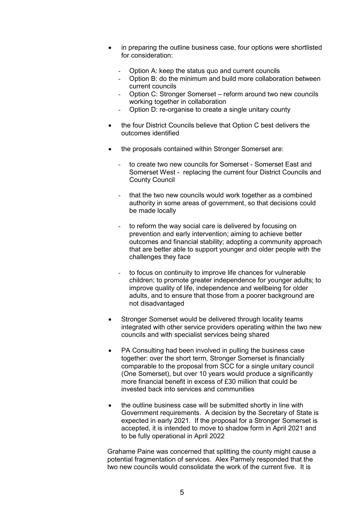- in preparing the outline business case, four options were shortlisted for consideration:
	- Option A: keep the status quo and current councils
	- Option B: do the minimum and build more collaboration between current councils
	- Option C: Stronger Somerset reform around two new councils working together in collaboration
	- Option D: re-organise to create a single unitary county
- the four District Councils believe that Option C best delivers the outcomes identified
- the proposals contained within Stronger Somerset are:
	- to create two new councils for Somerset Somerset East and Somerset West - replacing the current four District Councils and County Council
	- that the two new councils would work together as a combined authority in some areas of government, so that decisions could be made locally
	- to reform the way social care is delivered by focusing on prevention and early intervention; aiming to achieve better outcomes and financial stability; adopting a community approach that are better able to support younger and older people with the challenges they face
	- to focus on continuity to improve life chances for vulnerable children; to promote greater independence for younger adults; to improve quality of life, independence and wellbeing for older adults, and to ensure that those from a poorer background are not disadvantaged
- Stronger Somerset would be delivered through locality teams integrated with other service providers operating within the two new councils and with specialist services being shared
- PA Consulting had been involved in pulling the business case together: over the short term, Stronger Somerset is financially comparable to the proposal from SCC for a single unitary council (One Somerset), but over 10 years would produce a significantly more financial benefit in excess of £30 million that could be invested back into services and communities
- the outline business case will be submitted shortly in line with Government requirements. A decision by the Secretary of State is expected in early 2021. If the proposal for a Stronger Somerset is accepted, it is intended to move to shadow form in April 2021 and to be fully operational in April 2022

 Grahame Paine was concerned that splitting the county might cause a potential fragmentation of services. Alex Parmely responded that the two new councils would consolidate the work of the current five. It is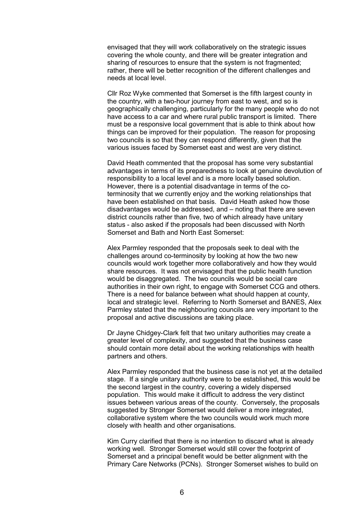envisaged that they will work collaboratively on the strategic issues covering the whole county, and there will be greater integration and sharing of resources to ensure that the system is not fragmented; rather, there will be better recognition of the different challenges and needs at local level.

 Cllr Roz Wyke commented that Somerset is the fifth largest county in the country, with a two-hour journey from east to west, and so is geographically challenging, particularly for the many people who do not have access to a car and where rural public transport is limited. There must be a responsive local government that is able to think about how things can be improved for their population. The reason for proposing two councils is so that they can respond differently, given that the various issues faced by Somerset east and west are very distinct.

 David Heath commented that the proposal has some very substantial advantages in terms of its preparedness to look at genuine devolution of responsibility to a local level and is a more locally based solution. However, there is a potential disadvantage in terms of the coterminosity that we currently enjoy and the working relationships that have been established on that basis. David Heath asked how those disadvantages would be addressed, and – noting that there are seven district councils rather than five, two of which already have unitary status - also asked if the proposals had been discussed with North Somerset and Bath and North East Somerset:

 Alex Parmley responded that the proposals seek to deal with the challenges around co-terminosity by looking at how the two new councils would work together more collaboratively and how they would share resources. It was not envisaged that the public health function would be disaggregated. The two councils would be social care authorities in their own right, to engage with Somerset CCG and others. There is a need for balance between what should happen at county, local and strategic level. Referring to North Somerset and BANES, Alex Parmley stated that the neighbouring councils are very important to the proposal and active discussions are taking place.

 Dr Jayne Chidgey-Clark felt that two unitary authorities may create a greater level of complexity, and suggested that the business case should contain more detail about the working relationships with health partners and others.

 Alex Parmley responded that the business case is not yet at the detailed stage. If a single unitary authority were to be established, this would be the second largest in the country, covering a widely dispersed population. This would make it difficult to address the very distinct issues between various areas of the county. Conversely, the proposals suggested by Stronger Somerset would deliver a more integrated, collaborative system where the two councils would work much more closely with health and other organisations.

 Kim Curry clarified that there is no intention to discard what is already working well. Stronger Somerset would still cover the footprint of Somerset and a principal benefit would be better alignment with the Primary Care Networks (PCNs). Stronger Somerset wishes to build on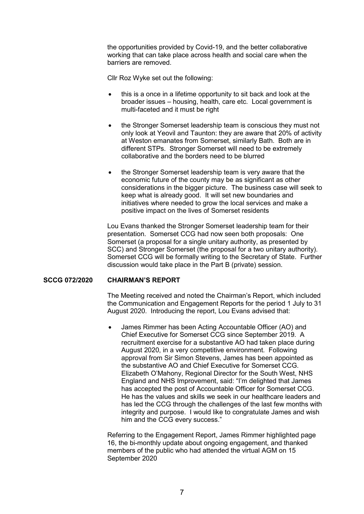the opportunities provided by Covid-19, and the better collaborative working that can take place across health and social care when the barriers are removed.

Cllr Roz Wyke set out the following:

- this is a once in a lifetime opportunity to sit back and look at the broader issues – housing, health, care etc. Local government is multi-faceted and it must be right
- the Stronger Somerset leadership team is conscious they must not only look at Yeovil and Taunton: they are aware that 20% of activity at Weston emanates from Somerset, similarly Bath. Both are in different STPs. Stronger Somerset will need to be extremely collaborative and the borders need to be blurred
- the Stronger Somerset leadership team is very aware that the economic future of the county may be as significant as other considerations in the bigger picture. The business case will seek to keep what is already good. It will set new boundaries and initiatives where needed to grow the local services and make a positive impact on the lives of Somerset residents

 Lou Evans thanked the Stronger Somerset leadership team for their presentation. Somerset CCG had now seen both proposals: One Somerset (a proposal for a single unitary authority, as presented by SCC) and Stronger Somerset (the proposal for a two unitary authority). Somerset CCG will be formally writing to the Secretary of State. Further discussion would take place in the Part B (private) session.

# **SCCG 072/2020 CHAIRMAN'S REPORT**

 The Meeting received and noted the Chairman's Report, which included the Communication and Engagement Reports for the period 1 July to 31 August 2020. Introducing the report, Lou Evans advised that:

 James Rimmer has been Acting Accountable Officer (AO) and Chief Executive for Somerset CCG since September 2019. A recruitment exercise for a substantive AO had taken place during August 2020, in a very competitive environment. Following approval from Sir Simon Stevens, James has been appointed as the substantive AO and Chief Executive for Somerset CCG. Elizabeth O'Mahony, Regional Director for the South West, NHS England and NHS Improvement, said: "I'm delighted that James has accepted the post of Accountable Officer for Somerset CCG. He has the values and skills we seek in our healthcare leaders and has led the CCG through the challenges of the last few months with integrity and purpose. I would like to congratulate James and wish him and the CCG every success."

 Referring to the Engagement Report, James Rimmer highlighted page 16, the bi-monthly update about ongoing engagement, and thanked members of the public who had attended the virtual AGM on 15 September 2020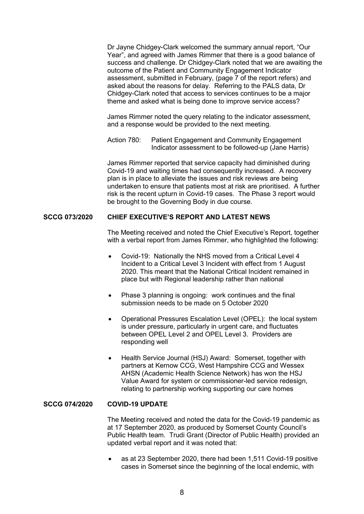Dr Jayne Chidgey-Clark welcomed the summary annual report, "Our Year", and agreed with James Rimmer that there is a good balance of success and challenge. Dr Chidgey-Clark noted that we are awaiting the outcome of the Patient and Community Engagement Indicator assessment, submitted in February, (page 7 of the report refers) and asked about the reasons for delay. Referring to the PALS data, Dr Chidgey-Clark noted that access to services continues to be a major theme and asked what is being done to improve service access?

 James Rimmer noted the query relating to the indicator assessment, and a response would be provided to the next meeting.

 Action 780: Patient Engagement and Community Engagement Indicator assessment to be followed-up (Jane Harris)

 James Rimmer reported that service capacity had diminished during Covid-19 and waiting times had consequently increased. A recovery plan is in place to alleviate the issues and risk reviews are being undertaken to ensure that patients most at risk are prioritised. A further risk is the recent upturn in Covid-19 cases. The Phase 3 report would be brought to the Governing Body in due course.

## **SCCG 073/2020 CHIEF EXECUTIVE'S REPORT AND LATEST NEWS**

 The Meeting received and noted the Chief Executive's Report, together with a verbal report from James Rimmer, who highlighted the following:

- Covid-19: Nationally the NHS moved from a Critical Level 4 Incident to a Critical Level 3 Incident with effect from 1 August 2020. This meant that the National Critical Incident remained in place but with Regional leadership rather than national
- Phase 3 planning is ongoing: work continues and the final submission needs to be made on 5 October 2020
- Operational Pressures Escalation Level (OPEL): the local system is under pressure, particularly in urgent care, and fluctuates between OPEL Level 2 and OPEL Level 3. Providers are responding well
- Health Service Journal (HSJ) Award: Somerset, together with partners at Kernow CCG, West Hampshire CCG and Wessex AHSN (Academic Health Science Network) has won the HSJ Value Award for system or commissioner-led service redesign, relating to partnership working supporting our care homes

### **SCCG 074/2020 COVID-19 UPDATE**

 The Meeting received and noted the data for the Covid-19 pandemic as at 17 September 2020, as produced by Somerset County Council's Public Health team. Trudi Grant (Director of Public Health) provided an updated verbal report and it was noted that:

 as at 23 September 2020, there had been 1,511 Covid-19 positive cases in Somerset since the beginning of the local endemic, with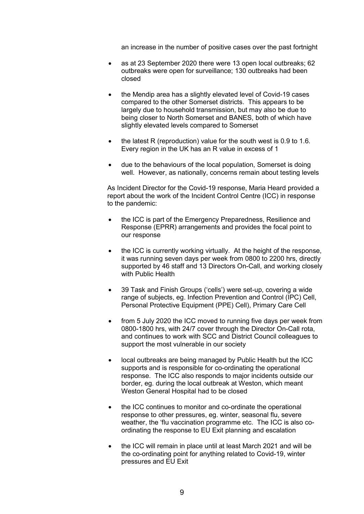an increase in the number of positive cases over the past fortnight

- as at 23 September 2020 there were 13 open local outbreaks; 62 outbreaks were open for surveillance; 130 outbreaks had been closed
- the Mendip area has a slightly elevated level of Covid-19 cases compared to the other Somerset districts. This appears to be largely due to household transmission, but may also be due to being closer to North Somerset and BANES, both of which have slightly elevated levels compared to Somerset
- $\bullet$  the latest R (reproduction) value for the south west is 0.9 to 1.6. Every region in the UK has an R value in excess of 1
- due to the behaviours of the local population, Somerset is doing well. However, as nationally, concerns remain about testing levels

 As Incident Director for the Covid-19 response, Maria Heard provided a report about the work of the Incident Control Centre (ICC) in response to the pandemic:

- the ICC is part of the Emergency Preparedness, Resilience and Response (EPRR) arrangements and provides the focal point to our response
- the ICC is currently working virtually. At the height of the response, it was running seven days per week from 0800 to 2200 hrs, directly supported by 46 staff and 13 Directors On-Call, and working closely with Public Health
- 39 Task and Finish Groups ('cells') were set-up, covering a wide range of subjects, eg. Infection Prevention and Control (IPC) Cell, Personal Protective Equipment (PPE) Cell), Primary Care Cell
- from 5 July 2020 the ICC moved to running five days per week from 0800-1800 hrs, with 24/7 cover through the Director On-Call rota, and continues to work with SCC and District Council colleagues to support the most vulnerable in our society
- local outbreaks are being managed by Public Health but the ICC supports and is responsible for co-ordinating the operational response. The ICC also responds to major incidents outside our border, eg. during the local outbreak at Weston, which meant Weston General Hospital had to be closed
- the ICC continues to monitor and co-ordinate the operational response to other pressures, eg. winter, seasonal flu, severe weather, the 'flu vaccination programme etc. The ICC is also coordinating the response to EU Exit planning and escalation
- the ICC will remain in place until at least March 2021 and will be the co-ordinating point for anything related to Covid-19, winter pressures and EU Exit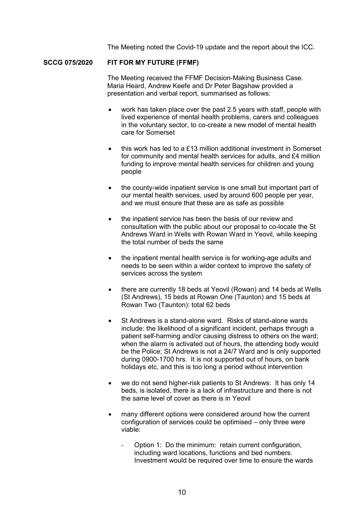The Meeting noted the Covid-19 update and the report about the ICC.

### **SCCG 075/2020 FIT FOR MY FUTURE (FFMF)**

 The Meeting received the FFMF Decision-Making Business Case. Maria Heard, Andrew Keefe and Dr Peter Bagshaw provided a presentation and verbal report, summarised as follows:

- work has taken place over the past 2.5 years with staff, people with lived experience of mental health problems, carers and colleagues in the voluntary sector, to co-create a new model of mental health care for Somerset
- $\bullet$  this work has led to a £13 million additional investment in Somerset for community and mental health services for adults, and £4 million funding to improve mental health services for children and young people
- the county-wide inpatient service is one small but important part of our mental health services, used by around 600 people per year, and we must ensure that these are as safe as possible
- the inpatient service has been the basis of our review and consultation with the public about our proposal to co-locate the St Andrews Ward in Wells with Rowan Ward in Yeovil, while keeping the total number of beds the same
- the inpatient mental health service is for working-age adults and needs to be seen within a wider context to improve the safety of services across the system
- there are currently 18 beds at Yeovil (Rowan) and 14 beds at Wells (St Andrews), 15 beds at Rowan One (Taunton) and 15 beds at Rowan Two (Taunton): total 62 beds
- St Andrews is a stand-alone ward. Risks of stand-alone wards include: the likelihood of a significant incident, perhaps through a patient self-harming and/or causing distress to others on the ward; when the alarm is activated out of hours, the attending body would be the Police; St Andrews is not a 24/7 Ward and is only supported during 0900-1700 hrs. It is not supported out of hours, on bank holidays etc, and this is too long a period without intervention
- we do not send higher-risk patients to St Andrews: It has only 14 beds, is isolated, there is a lack of infrastructure and there is not the same level of cover as there is in Yeovil
- many different options were considered around how the current configuration of services could be optimised – only three were viable:
	- Option 1: Do the minimum: retain current configuration, including ward locations, functions and bed numbers. Investment would be required over time to ensure the wards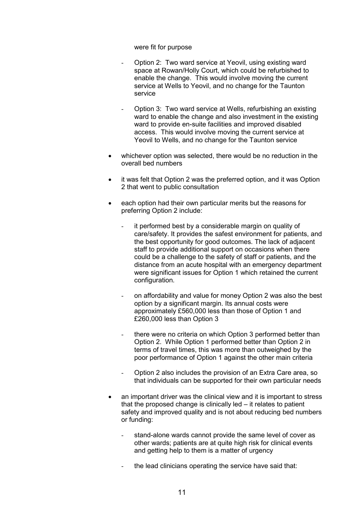#### were fit for purpose

- Option 2: Two ward service at Yeovil, using existing ward space at Rowan/Holly Court, which could be refurbished to enable the change. This would involve moving the current service at Wells to Yeovil, and no change for the Taunton service
- Option 3: Two ward service at Wells, refurbishing an existing ward to enable the change and also investment in the existing ward to provide en-suite facilities and improved disabled access. This would involve moving the current service at Yeovil to Wells, and no change for the Taunton service
- whichever option was selected, there would be no reduction in the overall bed numbers
- it was felt that Option 2 was the preferred option, and it was Option 2 that went to public consultation
- each option had their own particular merits but the reasons for preferring Option 2 include:
	- it performed best by a considerable margin on quality of care/safety. It provides the safest environment for patients, and the best opportunity for good outcomes. The lack of adjacent staff to provide additional support on occasions when there could be a challenge to the safety of staff or patients, and the distance from an acute hospital with an emergency department were significant issues for Option 1 which retained the current configuration.
	- on affordability and value for money Option 2 was also the best option by a significant margin. Its annual costs were approximately £560,000 less than those of Option 1 and £260,000 less than Option 3
	- there were no criteria on which Option 3 performed better than Option 2. While Option 1 performed better than Option 2 in terms of travel times, this was more than outweighed by the poor performance of Option 1 against the other main criteria
	- Option 2 also includes the provision of an Extra Care area, so that individuals can be supported for their own particular needs
- an important driver was the clinical view and it is important to stress that the proposed change is clinically led – it relates to patient safety and improved quality and is not about reducing bed numbers or funding:
	- stand-alone wards cannot provide the same level of cover as other wards; patients are at quite high risk for clinical events and getting help to them is a matter of urgency
	- the lead clinicians operating the service have said that: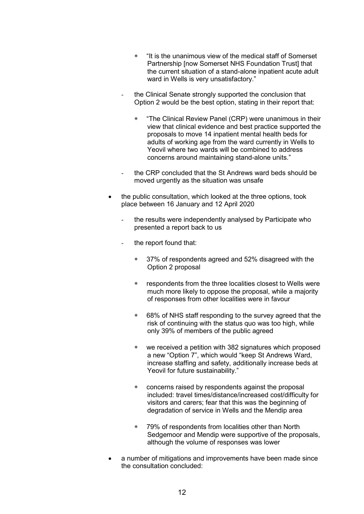- "It is the unanimous view of the medical staff of Somerset Partnership [now Somerset NHS Foundation Trust] that the current situation of a stand-alone inpatient acute adult ward in Wells is very unsatisfactory."
- the Clinical Senate strongly supported the conclusion that Option 2 would be the best option, stating in their report that:
	- "The Clinical Review Panel (CRP) were unanimous in their view that clinical evidence and best practice supported the proposals to move 14 inpatient mental health beds for adults of working age from the ward currently in Wells to Yeovil where two wards will be combined to address concerns around maintaining stand-alone units."
- the CRP concluded that the St Andrews ward beds should be moved urgently as the situation was unsafe
- the public consultation, which looked at the three options, took place between 16 January and 12 April 2020
	- the results were independently analysed by Participate who presented a report back to us
	- the report found that:
		- 37% of respondents agreed and 52% disagreed with the Option 2 proposal
		- respondents from the three localities closest to Wells were much more likely to oppose the proposal, while a majority of responses from other localities were in favour
		- 68% of NHS staff responding to the survey agreed that the risk of continuing with the status quo was too high, while only 39% of members of the public agreed
		- we received a petition with 382 signatures which proposed a new "Option 7", which would "keep St Andrews Ward, increase staffing and safety, additionally increase beds at Yeovil for future sustainability."
		- concerns raised by respondents against the proposal included: travel times/distance/increased cost/difficulty for visitors and carers; fear that this was the beginning of degradation of service in Wells and the Mendip area
		- 79% of respondents from localities other than North Sedgemoor and Mendip were supportive of the proposals, although the volume of responses was lower
- a number of mitigations and improvements have been made since the consultation concluded: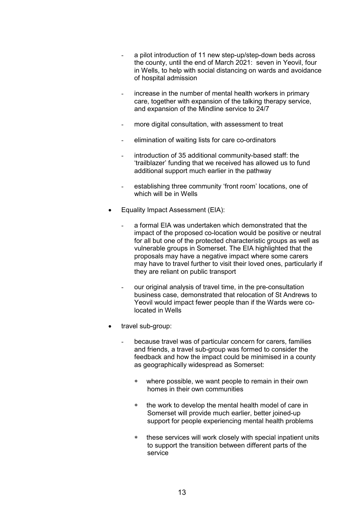- a pilot introduction of 11 new step-up/step-down beds across the county, until the end of March 2021: seven in Yeovil, four in Wells, to help with social distancing on wards and avoidance of hospital admission
- increase in the number of mental health workers in primary care, together with expansion of the talking therapy service, and expansion of the Mindline service to 24/7
- more digital consultation, with assessment to treat
- elimination of waiting lists for care co-ordinators
- introduction of 35 additional community-based staff: the 'trailblazer' funding that we received has allowed us to fund additional support much earlier in the pathway
- establishing three community 'front room' locations, one of which will be in Wells
- Equality Impact Assessment (EIA):
	- a formal EIA was undertaken which demonstrated that the impact of the proposed co-location would be positive or neutral for all but one of the protected characteristic groups as well as vulnerable groups in Somerset. The EIA highlighted that the proposals may have a negative impact where some carers may have to travel further to visit their loved ones, particularly if they are reliant on public transport
	- our original analysis of travel time, in the pre-consultation business case, demonstrated that relocation of St Andrews to Yeovil would impact fewer people than if the Wards were colocated in Wells
- travel sub-group:
	- because travel was of particular concern for carers, families and friends, a travel sub-group was formed to consider the feedback and how the impact could be minimised in a county as geographically widespread as Somerset:
		- where possible, we want people to remain in their own homes in their own communities
		- the work to develop the mental health model of care in Somerset will provide much earlier, better joined-up support for people experiencing mental health problems
		- these services will work closely with special inpatient units to support the transition between different parts of the service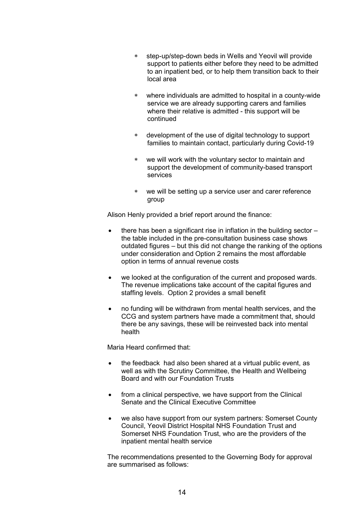- step-up/step-down beds in Wells and Yeovil will provide support to patients either before they need to be admitted to an inpatient bed, or to help them transition back to their local area
- where individuals are admitted to hospital in a county-wide service we are already supporting carers and families where their relative is admitted - this support will be continued
- development of the use of digital technology to support families to maintain contact, particularly during Covid-19
- we will work with the voluntary sector to maintain and support the development of community-based transport services
- we will be setting up a service user and carer reference group

Alison Henly provided a brief report around the finance:

- there has been a significant rise in inflation in the building sector the table included in the pre-consultation business case shows outdated figures – but this did not change the ranking of the options under consideration and Option 2 remains the most affordable option in terms of annual revenue costs
- we looked at the configuration of the current and proposed wards. The revenue implications take account of the capital figures and staffing levels. Option 2 provides a small benefit
- no funding will be withdrawn from mental health services, and the CCG and system partners have made a commitment that, should there be any savings, these will be reinvested back into mental health

Maria Heard confirmed that:

- the feedback had also been shared at a virtual public event, as well as with the Scrutiny Committee, the Health and Wellbeing Board and with our Foundation Trusts
- from a clinical perspective, we have support from the Clinical Senate and the Clinical Executive Committee
- we also have support from our system partners: Somerset County Council, Yeovil District Hospital NHS Foundation Trust and Somerset NHS Foundation Trust, who are the providers of the inpatient mental health service

 The recommendations presented to the Governing Body for approval are summarised as follows: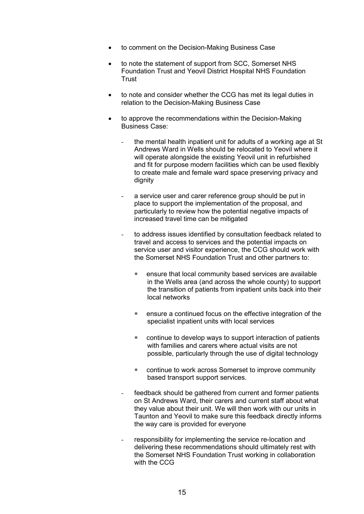- to comment on the Decision-Making Business Case
- to note the statement of support from SCC, Somerset NHS Foundation Trust and Yeovil District Hospital NHS Foundation **Trust**
- to note and consider whether the CCG has met its legal duties in relation to the Decision-Making Business Case
- to approve the recommendations within the Decision-Making Business Case:
	- the mental health inpatient unit for adults of a working age at St Andrews Ward in Wells should be relocated to Yeovil where it will operate alongside the existing Yeovil unit in refurbished and fit for purpose modern facilities which can be used flexibly to create male and female ward space preserving privacy and dignity
	- a service user and carer reference group should be put in place to support the implementation of the proposal, and particularly to review how the potential negative impacts of increased travel time can be mitigated
	- to address issues identified by consultation feedback related to travel and access to services and the potential impacts on service user and visitor experience, the CCG should work with the Somerset NHS Foundation Trust and other partners to:
		- ensure that local community based services are available in the Wells area (and across the whole county) to support the transition of patients from inpatient units back into their local networks
		- ensure a continued focus on the effective integration of the specialist inpatient units with local services
		- continue to develop ways to support interaction of patients with families and carers where actual visits are not possible, particularly through the use of digital technology
		- continue to work across Somerset to improve community based transport support services.
	- feedback should be gathered from current and former patients on St Andrews Ward, their carers and current staff about what they value about their unit. We will then work with our units in Taunton and Yeovil to make sure this feedback directly informs the way care is provided for everyone
	- responsibility for implementing the service re-location and delivering these recommendations should ultimately rest with the Somerset NHS Foundation Trust working in collaboration with the CCG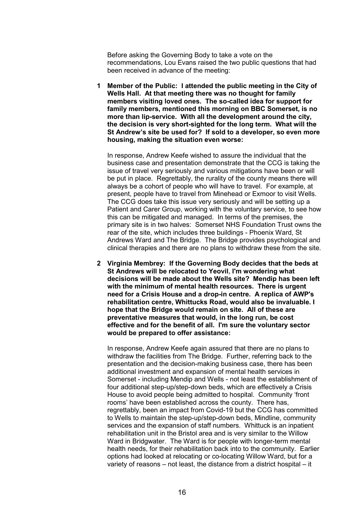Before asking the Governing Body to take a vote on the recommendations, Lou Evans raised the two public questions that had been received in advance of the meeting:

**1 Member of the Public: I attended the public meeting in the City of Wells Hall. At that meeting there was no thought for family members visiting loved ones. The so-called idea for support for family members, mentioned this morning on BBC Somerset, is no more than lip-service. With all the development around the city, the decision is very short-sighted for the long term. What will the St Andrew's site be used for? If sold to a developer, so even more housing, making the situation even worse:**

 In response, Andrew Keefe wished to assure the individual that the business case and presentation demonstrate that the CCG is taking the issue of travel very seriously and various mitigations have been or will be put in place. Regrettably, the rurality of the county means there will always be a cohort of people who will have to travel. For example, at present, people have to travel from Minehead or Exmoor to visit Wells. The CCG does take this issue very seriously and will be setting up a Patient and Carer Group, working with the voluntary service, to see how this can be mitigated and managed. In terms of the premises, the primary site is in two halves: Somerset NHS Foundation Trust owns the rear of the site, which includes three buildings - Phoenix Ward, St Andrews Ward and The Bridge. The Bridge provides psychological and clinical therapies and there are no plans to withdraw these from the site.

**2 Virginia Membrey: If the Governing Body decides that the beds at St Andrews will be relocated to Yeovil, I'm wondering what decisions will be made about the Wells site? Mendip has been left with the minimum of mental health resources. There is urgent need for a Crisis House and a drop-in centre. A replica of AWP's rehabilitation centre, Whittucks Road, would also be invaluable. I hope that the Bridge would remain on site. All of these are preventative measures that would, in the long run, be cost effective and for the benefit of all. I'm sure the voluntary sector would be prepared to offer assistance:**

 In response, Andrew Keefe again assured that there are no plans to withdraw the facilities from The Bridge. Further, referring back to the presentation and the decision-making business case, there has been additional investment and expansion of mental health services in Somerset - including Mendip and Wells - not least the establishment of four additional step-up/step-down beds, which are effectively a Crisis House to avoid people being admitted to hospital. Community 'front rooms' have been established across the county. There has, regrettably, been an impact from Covid-19 but the CCG has committed to Wells to maintain the step-up/step-down beds, Mindline, community services and the expansion of staff numbers. Whittuck is an inpatient rehabilitation unit in the Bristol area and is very similar to the Willow Ward in Bridgwater. The Ward is for people with longer-term mental health needs, for their rehabilitation back into to the community. Earlier options had looked at relocating or co-locating Willow Ward, but for a variety of reasons – not least, the distance from a district hospital – it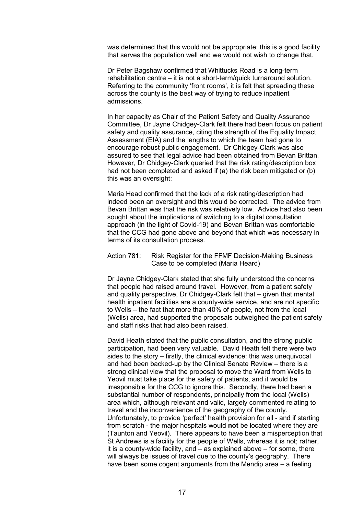was determined that this would not be appropriate: this is a good facility that serves the population well and we would not wish to change that.

 Dr Peter Bagshaw confirmed that Whittucks Road is a long-term rehabilitation centre – it is not a short-term/quick turnaround solution. Referring to the community 'front rooms', it is felt that spreading these across the county is the best way of trying to reduce inpatient admissions.

 In her capacity as Chair of the Patient Safety and Quality Assurance Committee, Dr Jayne Chidgey-Clark felt there had been focus on patient safety and quality assurance, citing the strength of the Equality Impact Assessment (EIA) and the lengths to which the team had gone to encourage robust public engagement. Dr Chidgey-Clark was also assured to see that legal advice had been obtained from Bevan Brittan. However, Dr Chidgey-Clark queried that the risk rating/description box had not been completed and asked if (a) the risk been mitigated or (b) this was an oversight:

 Maria Head confirmed that the lack of a risk rating/description had indeed been an oversight and this would be corrected. The advice from Bevan Brittan was that the risk was relatively low. Advice had also been sought about the implications of switching to a digital consultation approach (in the light of Covid-19) and Bevan Brittan was comfortable that the CCG had gone above and beyond that which was necessary in terms of its consultation process.

#### Action 781: Risk Register for the FFMF Decision-Making Business Case to be completed (Maria Heard)

 Dr Jayne Chidgey-Clark stated that she fully understood the concerns that people had raised around travel. However, from a patient safety and quality perspective, Dr Chidgey-Clark felt that – given that mental health inpatient facilities are a county-wide service, and are not specific to Wells – the fact that more than 40% of people, not from the local (Wells) area, had supported the proposals outweighed the patient safety and staff risks that had also been raised.

 David Heath stated that the public consultation, and the strong public participation, had been very valuable. David Heath felt there were two sides to the story – firstly, the clinical evidence: this was unequivocal and had been backed-up by the Clinical Senate Review – there is a strong clinical view that the proposal to move the Ward from Wells to Yeovil must take place for the safety of patients, and it would be irresponsible for the CCG to ignore this. Secondly, there had been a substantial number of respondents, principally from the local (Wells) area which, although relevant and valid, largely commented relating to travel and the inconvenience of the geography of the county. Unfortunately, to provide 'perfect' health provision for all - and if starting from scratch - the major hospitals would **not** be located where they are (Taunton and Yeovil). There appears to have been a misperception that St Andrews is a facility for the people of Wells, whereas it is not; rather, it is a county-wide facility, and – as explained above – for some, there will always be issues of travel due to the county's geography. There have been some cogent arguments from the Mendip area – a feeling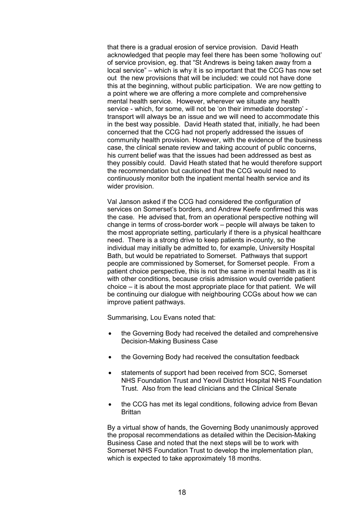that there is a gradual erosion of service provision. David Heath acknowledged that people may feel there has been some 'hollowing out' of service provision, eg. that "St Andrews is being taken away from a local service" – which is why it is so important that the CCG has now set out the new provisions that will be included: we could not have done this at the beginning, without public participation. We are now getting to a point where we are offering a more complete and comprehensive mental health service. However, wherever we situate any health service - which, for some, will not be 'on their immediate doorstep' transport will always be an issue and we will need to accommodate this in the best way possible. David Heath stated that, initially, he had been concerned that the CCG had not properly addressed the issues of community health provision. However, with the evidence of the business case, the clinical senate review and taking account of public concerns, his current belief was that the issues had been addressed as best as they possibly could. David Heath stated that he would therefore support the recommendation but cautioned that the CCG would need to continuously monitor both the inpatient mental health service and its wider provision.

 Val Janson asked if the CCG had considered the configuration of services on Somerset's borders, and Andrew Keefe confirmed this was the case. He advised that, from an operational perspective nothing will change in terms of cross-border work – people will always be taken to the most appropriate setting, particularly if there is a physical healthcare need. There is a strong drive to keep patients in-county, so the individual may initially be admitted to, for example, University Hospital Bath, but would be repatriated to Somerset. Pathways that support people are commissioned by Somerset, for Somerset people. From a patient choice perspective, this is not the same in mental health as it is with other conditions, because crisis admission would override patient choice – it is about the most appropriate place for that patient. We will be continuing our dialogue with neighbouring CCGs about how we can improve patient pathways.

Summarising, Lou Evans noted that:

- the Governing Body had received the detailed and comprehensive Decision-Making Business Case
- the Governing Body had received the consultation feedback
- statements of support had been received from SCC, Somerset NHS Foundation Trust and Yeovil District Hospital NHS Foundation Trust. Also from the lead clinicians and the Clinical Senate
- the CCG has met its legal conditions, following advice from Bevan **Brittan**

 By a virtual show of hands, the Governing Body unanimously approved the proposal recommendations as detailed within the Decision-Making Business Case and noted that the next steps will be to work with Somerset NHS Foundation Trust to develop the implementation plan, which is expected to take approximately 18 months.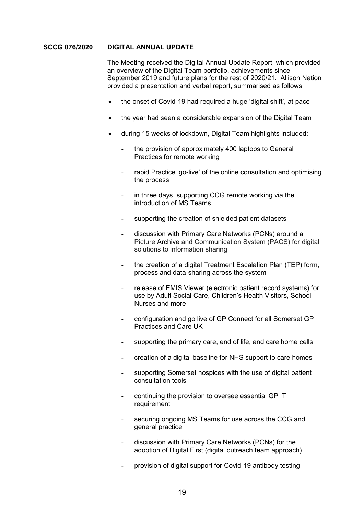#### **SCCG 076/2020 DIGITAL ANNUAL UPDATE**

 The Meeting received the Digital Annual Update Report, which provided an overview of the Digital Team portfolio, achievements since September 2019 and future plans for the rest of 2020/21. Allison Nation provided a presentation and verbal report, summarised as follows:

- the onset of Covid-19 had required a huge 'digital shift', at pace
- the year had seen a considerable expansion of the Digital Team
- during 15 weeks of lockdown, Digital Team highlights included:
	- the provision of approximately 400 laptops to General Practices for remote working
	- rapid Practice 'go-live' of the online consultation and optimising the process
	- in three days, supporting CCG remote working via the introduction of MS Teams
	- supporting the creation of shielded patient datasets
	- discussion with Primary Care Networks (PCNs) around a Picture Archive and Communication System (PACS) for digital solutions to information sharing
	- the creation of a digital Treatment Escalation Plan (TEP) form, process and data-sharing across the system
	- release of EMIS Viewer (electronic patient record systems) for use by Adult Social Care, Children's Health Visitors, School Nurses and more
	- configuration and go live of GP Connect for all Somerset GP Practices and Care UK
	- supporting the primary care, end of life, and care home cells
	- creation of a digital baseline for NHS support to care homes
	- supporting Somerset hospices with the use of digital patient consultation tools
	- continuing the provision to oversee essential GP IT requirement
	- securing ongoing MS Teams for use across the CCG and general practice
	- discussion with Primary Care Networks (PCNs) for the adoption of Digital First (digital outreach team approach)
	- provision of digital support for Covid-19 antibody testing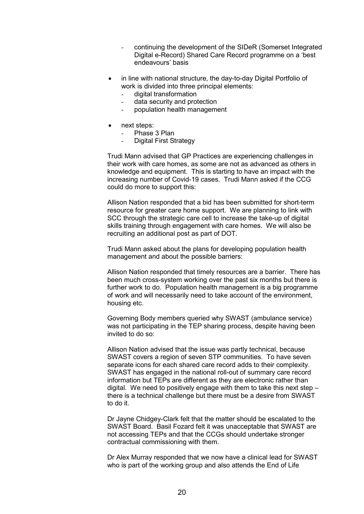- continuing the development of the SIDeR (Somerset Integrated Digital e-Record) Shared Care Record programme on a 'best endeavours' basis
- in line with national structure, the day-to-day Digital Portfolio of work is divided into three principal elements:
	- digital transformation
	- data security and protection
	- population health management
- next steps:
	- Phase 3 Plan
	- Digital First Strategy

 Trudi Mann advised that GP Practices are experiencing challenges in their work with care homes, as some are not as advanced as others in knowledge and equipment. This is starting to have an impact with the increasing number of Covid-19 cases. Trudi Mann asked if the CCG could do more to support this:

 Allison Nation responded that a bid has been submitted for short-term resource for greater care home support. We are planning to link with SCC through the strategic care cell to increase the take-up of digital skills training through engagement with care homes. We will also be recruiting an additional post as part of DOT.

 Trudi Mann asked about the plans for developing population health management and about the possible barriers:

 Allison Nation responded that timely resources are a barrier. There has been much cross-system working over the past six months but there is further work to do. Population health management is a big programme of work and will necessarily need to take account of the environment, housing etc.

 Governing Body members queried why SWAST (ambulance service) was not participating in the TEP sharing process, despite having been invited to do so:

 Allison Nation advised that the issue was partly technical, because SWAST covers a region of seven STP communities. To have seven separate icons for each shared care record adds to their complexity. SWAST has engaged in the national roll-out of summary care record information but TEPs are different as they are electronic rather than digital. We need to positively engage with them to take this next step – there is a technical challenge but there must be a desire from SWAST to do it.

 Dr Jayne Chidgey-Clark felt that the matter should be escalated to the SWAST Board. Basil Fozard felt it was unacceptable that SWAST are not accessing TEPs and that the CCGs should undertake stronger contractual commissioning with them.

 Dr Alex Murray responded that we now have a clinical lead for SWAST who is part of the working group and also attends the End of Life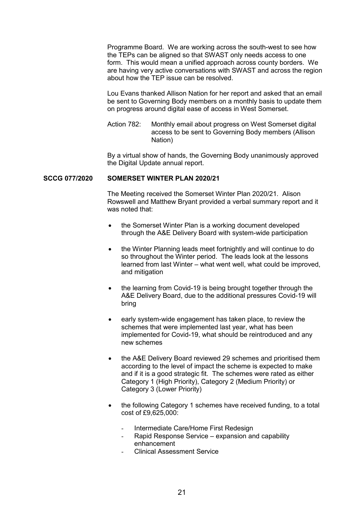Programme Board. We are working across the south-west to see how the TEPs can be aligned so that SWAST only needs access to one form. This would mean a unified approach across county borders. We are having very active conversations with SWAST and across the region about how the TEP issue can be resolved.

 Lou Evans thanked Allison Nation for her report and asked that an email be sent to Governing Body members on a monthly basis to update them on progress around digital ease of access in West Somerset.

Action 782: Monthly email about progress on West Somerset digital access to be sent to Governing Body members (Allison Nation)

 By a virtual show of hands, the Governing Body unanimously approved the Digital Update annual report.

#### **SCCG 077/2020 SOMERSET WINTER PLAN 2020/21**

 The Meeting received the Somerset Winter Plan 2020/21. Alison Rowswell and Matthew Bryant provided a verbal summary report and it was noted that:

- the Somerset Winter Plan is a working document developed through the A&E Delivery Board with system-wide participation
- the Winter Planning leads meet fortnightly and will continue to do so throughout the Winter period. The leads look at the lessons learned from last Winter – what went well, what could be improved, and mitigation
- the learning from Covid-19 is being brought together through the A&E Delivery Board, due to the additional pressures Covid-19 will bring
- early system-wide engagement has taken place, to review the schemes that were implemented last year, what has been implemented for Covid-19, what should be reintroduced and any new schemes
- the A&E Delivery Board reviewed 29 schemes and prioritised them according to the level of impact the scheme is expected to make and if it is a good strategic fit. The schemes were rated as either Category 1 (High Priority), Category 2 (Medium Priority) or Category 3 (Lower Priority)
- the following Category 1 schemes have received funding, to a total cost of £9,625,000:
	- Intermediate Care/Home First Redesign
	- Rapid Response Service expansion and capability enhancement
	- Clinical Assessment Service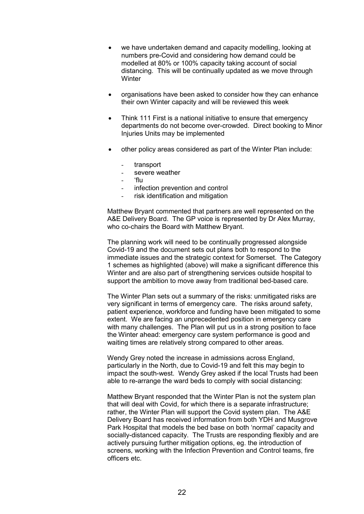- we have undertaken demand and capacity modelling, looking at numbers pre-Covid and considering how demand could be modelled at 80% or 100% capacity taking account of social distancing. This will be continually updated as we move through **Winter**
- organisations have been asked to consider how they can enhance their own Winter capacity and will be reviewed this week
- Think 111 First is a national initiative to ensure that emergency departments do not become over-crowded. Direct booking to Minor Injuries Units may be implemented
- other policy areas considered as part of the Winter Plan include:
	- transport
	- severe weather
	- 'flu<br>- infe
	- infection prevention and control
	- risk identification and mitigation

 Matthew Bryant commented that partners are well represented on the A&E Delivery Board. The GP voice is represented by Dr Alex Murray, who co-chairs the Board with Matthew Bryant.

 The planning work will need to be continually progressed alongside Covid-19 and the document sets out plans both to respond to the immediate issues and the strategic context for Somerset. The Category 1 schemes as highlighted (above) will make a significant difference this Winter and are also part of strengthening services outside hospital to support the ambition to move away from traditional bed-based care.

 The Winter Plan sets out a summary of the risks: unmitigated risks are very significant in terms of emergency care. The risks around safety, patient experience, workforce and funding have been mitigated to some extent. We are facing an unprecedented position in emergency care with many challenges. The Plan will put us in a strong position to face the Winter ahead: emergency care system performance is good and waiting times are relatively strong compared to other areas.

Wendy Grey noted the increase in admissions across England. particularly in the North, due to Covid-19 and felt this may begin to impact the south-west. Wendy Grey asked if the local Trusts had been able to re-arrange the ward beds to comply with social distancing:

 Matthew Bryant responded that the Winter Plan is not the system plan that will deal with Covid, for which there is a separate infrastructure; rather, the Winter Plan will support the Covid system plan. The A&E Delivery Board has received information from both YDH and Musgrove Park Hospital that models the bed base on both 'normal' capacity and socially-distanced capacity. The Trusts are responding flexibly and are actively pursuing further mitigation options, eg. the introduction of screens, working with the Infection Prevention and Control teams, fire officers etc.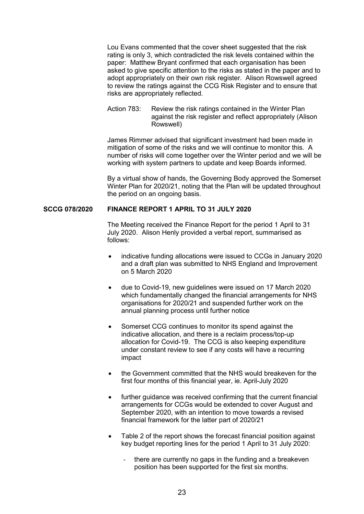Lou Evans commented that the cover sheet suggested that the risk rating is only 3, which contradicted the risk levels contained within the paper: Matthew Bryant confirmed that each organisation has been asked to give specific attention to the risks as stated in the paper and to adopt appropriately on their own risk register. Alison Rowswell agreed to review the ratings against the CCG Risk Register and to ensure that risks are appropriately reflected.

 Action 783: Review the risk ratings contained in the Winter Plan against the risk register and reflect appropriately (Alison Rowswell)

 James Rimmer advised that significant investment had been made in mitigation of some of the risks and we will continue to monitor this. A number of risks will come together over the Winter period and we will be working with system partners to update and keep Boards informed.

 By a virtual show of hands, the Governing Body approved the Somerset Winter Plan for 2020/21, noting that the Plan will be updated throughout the period on an ongoing basis.

## **SCCG 078/2020 FINANCE REPORT 1 APRIL TO 31 JULY 2020**

 The Meeting received the Finance Report for the period 1 April to 31 July 2020. Alison Henly provided a verbal report, summarised as follows:

- indicative funding allocations were issued to CCGs in January 2020 and a draft plan was submitted to NHS England and Improvement on 5 March 2020
- due to Covid-19, new guidelines were issued on 17 March 2020 which fundamentally changed the financial arrangements for NHS organisations for 2020/21 and suspended further work on the annual planning process until further notice
- Somerset CCG continues to monitor its spend against the indicative allocation, and there is a reclaim process/top-up allocation for Covid-19. The CCG is also keeping expenditure under constant review to see if any costs will have a recurring impact
- the Government committed that the NHS would breakeven for the first four months of this financial year, ie. April-July 2020
- further guidance was received confirming that the current financial arrangements for CCGs would be extended to cover August and September 2020, with an intention to move towards a revised financial framework for the latter part of 2020/21
- Table 2 of the report shows the forecast financial position against key budget reporting lines for the period 1 April to 31 July 2020:
	- there are currently no gaps in the funding and a breakeven position has been supported for the first six months.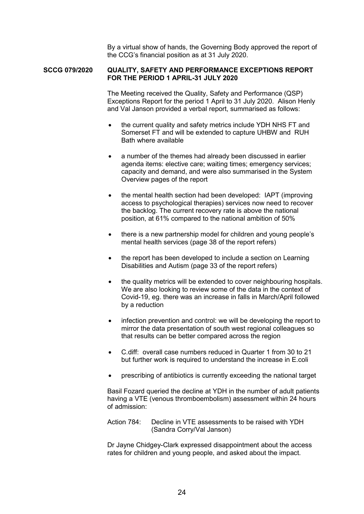By a virtual show of hands, the Governing Body approved the report of the CCG's financial position as at 31 July 2020.

### **SCCG 079/2020 QUALITY, SAFETY AND PERFORMANCE EXCEPTIONS REPORT FOR THE PERIOD 1 APRIL-31 JULY 2020**

 The Meeting received the Quality, Safety and Performance (QSP) Exceptions Report for the period 1 April to 31 July 2020. Alison Henly and Val Janson provided a verbal report, summarised as follows:

- the current quality and safety metrics include YDH NHS FT and Somerset FT and will be extended to capture UHBW and RUH Bath where available
- a number of the themes had already been discussed in earlier agenda items: elective care; waiting times; emergency services; capacity and demand, and were also summarised in the System Overview pages of the report
- the mental health section had been developed: IAPT (improving access to psychological therapies) services now need to recover the backlog. The current recovery rate is above the national position, at 61% compared to the national ambition of 50%
- there is a new partnership model for children and young people's mental health services (page 38 of the report refers)
- the report has been developed to include a section on Learning Disabilities and Autism (page 33 of the report refers)
- the quality metrics will be extended to cover neighbouring hospitals. We are also looking to review some of the data in the context of Covid-19, eg. there was an increase in falls in March/April followed by a reduction
- infection prevention and control: we will be developing the report to mirror the data presentation of south west regional colleagues so that results can be better compared across the region
- C.diff: overall case numbers reduced in Quarter 1 from 30 to 21 but further work is required to understand the increase in E.coli
- prescribing of antibiotics is currently exceeding the national target

 Basil Fozard queried the decline at YDH in the number of adult patients having a VTE (venous thromboembolism) assessment within 24 hours of admission:

 Action 784: Decline in VTE assessments to be raised with YDH (Sandra Corry/Val Janson)

 Dr Jayne Chidgey-Clark expressed disappointment about the access rates for children and young people, and asked about the impact.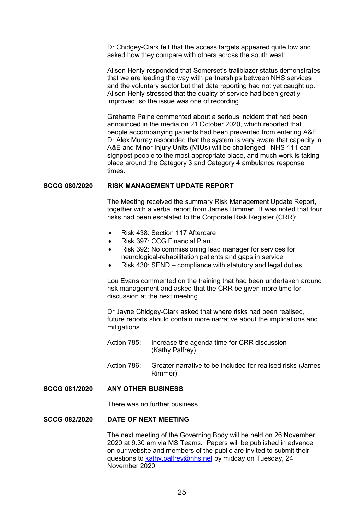Dr Chidgey-Clark felt that the access targets appeared quite low and asked how they compare with others across the south west:

 Alison Henly responded that Somerset's trailblazer status demonstrates that we are leading the way with partnerships between NHS services and the voluntary sector but that data reporting had not yet caught up. Alison Henly stressed that the quality of service had been greatly improved, so the issue was one of recording.

 Grahame Paine commented about a serious incident that had been announced in the media on 21 October 2020, which reported that people accompanying patients had been prevented from entering A&E. Dr Alex Murray responded that the system is very aware that capacity in A&E and Minor Injury Units (MIUs) will be challenged. NHS 111 can signpost people to the most appropriate place, and much work is taking place around the Category 3 and Category 4 ambulance response times.

### **SCCG 080/2020 RISK MANAGEMENT UPDATE REPORT**

 The Meeting received the summary Risk Management Update Report, together with a verbal report from James Rimmer. It was noted that four risks had been escalated to the Corporate Risk Register (CRR):

- Risk 438: Section 117 Aftercare
- Risk 397: CCG Financial Plan
- Risk 392: No commissioning lead manager for services for neurological-rehabilitation patients and gaps in service
- Risk 430: SEND compliance with statutory and legal duties

 Lou Evans commented on the training that had been undertaken around risk management and asked that the CRR be given more time for discussion at the next meeting.

 Dr Jayne Chidgey-Clark asked that where risks had been realised, future reports should contain more narrative about the implications and mitigations.

- Action 785: Increase the agenda time for CRR discussion (Kathy Palfrey)
- Action 786: Greater narrative to be included for realised risks (James Rimmer)

#### **SCCG 081/2020 ANY OTHER BUSINESS**

There was no further business.

# **SCCG 082/2020 DATE OF NEXT MEETING**

 The next meeting of the Governing Body will be held on 26 November 2020 at 9.30 am via MS Teams. Papers will be published in advance on our website and members of the public are invited to submit their questions to kathy.palfrey@nhs.net by midday on Tuesday, 24 November 2020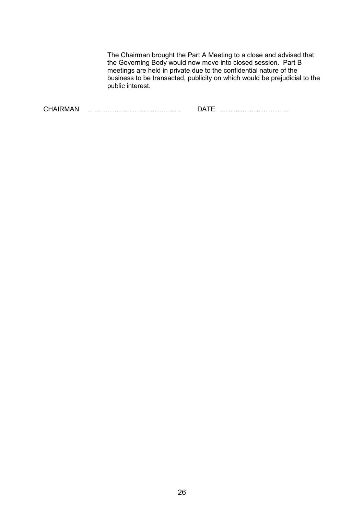The Chairman brought the Part A Meeting to a close and advised that the Governing Body would now move into closed session. Part B meetings are held in private due to the confidential nature of the business to be transacted, publicity on which would be prejudicial to the public interest.

| $\bigcap$ IIA |  |
|---------------|--|
|---------------|--|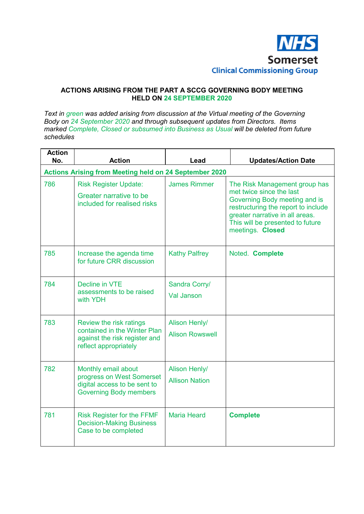

# **ACTIONS ARISING FROM THE PART A SCCG GOVERNING BODY MEETING HELD ON 24 SEPTEMBER 2020**

*Text in green was added arising from discussion at the Virtual meeting of the Governing Body on 24 September 2020 and through subsequent updates from Directors. Items marked Complete, Closed or subsumed into Business as Usual will be deleted from future schedules* 

| <b>Action</b><br>No. | <b>Action</b>                                                                                                     | Lead                                           | <b>Updates/Action Date</b>                                                                                                                                                                                                   |
|----------------------|-------------------------------------------------------------------------------------------------------------------|------------------------------------------------|------------------------------------------------------------------------------------------------------------------------------------------------------------------------------------------------------------------------------|
|                      | <b>Actions Arising from Meeting held on 24 September 2020</b>                                                     |                                                |                                                                                                                                                                                                                              |
| 786                  | <b>Risk Register Update:</b><br>Greater narrative to be<br>included for realised risks                            | <b>James Rimmer</b>                            | The Risk Management group has<br>met twice since the last<br>Governing Body meeting and is<br>restructuring the report to include<br>greater narrative in all areas.<br>This will be presented to future<br>meetings. Closed |
| 785                  | Increase the agenda time<br>for future CRR discussion                                                             | <b>Kathy Palfrey</b>                           | Noted. Complete                                                                                                                                                                                                              |
| 784                  | Decline in VTE<br>assessments to be raised<br>with YDH                                                            | Sandra Corry/<br><b>Val Janson</b>             |                                                                                                                                                                                                                              |
| 783                  | Review the risk ratings<br>contained in the Winter Plan<br>against the risk register and<br>reflect appropriately | <b>Alison Henly/</b><br><b>Alison Rowswell</b> |                                                                                                                                                                                                                              |
| 782                  | Monthly email about<br>progress on West Somerset<br>digital access to be sent to<br><b>Governing Body members</b> | <b>Alison Henly/</b><br><b>Allison Nation</b>  |                                                                                                                                                                                                                              |
| 781                  | <b>Risk Register for the FFMF</b><br><b>Decision-Making Business</b><br>Case to be completed                      | <b>Maria Heard</b>                             | <b>Complete</b>                                                                                                                                                                                                              |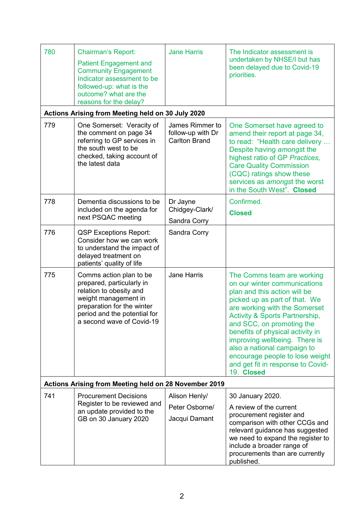| 780                                                   | <b>Chairman's Report:</b><br><b>Patient Engagement and</b><br><b>Community Engagement</b><br>Indicator assessment to be<br>followed-up: what is the<br>outcome? what are the<br>reasons for the delay? | <b>Jane Harris</b>                                           | The Indicator assessment is<br>undertaken by NHSE/I but has<br>been delayed due to Covid-19<br>priorities.                                                                                                                                                                                                                                                                                                                       |  |
|-------------------------------------------------------|--------------------------------------------------------------------------------------------------------------------------------------------------------------------------------------------------------|--------------------------------------------------------------|----------------------------------------------------------------------------------------------------------------------------------------------------------------------------------------------------------------------------------------------------------------------------------------------------------------------------------------------------------------------------------------------------------------------------------|--|
|                                                       | Actions Arising from Meeting held on 30 July 2020                                                                                                                                                      |                                                              |                                                                                                                                                                                                                                                                                                                                                                                                                                  |  |
| 779                                                   | One Somerset: Veracity of<br>the comment on page 34<br>referring to GP services in<br>the south west to be<br>checked, taking account of<br>the latest data                                            | James Rimmer to<br>follow-up with Dr<br><b>Carlton Brand</b> | One Somerset have agreed to<br>amend their report at page 34,<br>to read: "Health care delivery<br>Despite having amongst the<br>highest ratio of GP Practices,<br><b>Care Quality Commission</b><br>(CQC) ratings show these<br>services as amongst the worst<br>in the South West". Closed                                                                                                                                     |  |
| 778                                                   | Dementia discussions to be<br>included on the agenda for<br>next PSQAC meeting                                                                                                                         | Dr Jayne<br>Chidgey-Clark/<br>Sandra Corry                   | Confirmed.<br><b>Closed</b>                                                                                                                                                                                                                                                                                                                                                                                                      |  |
| 776                                                   | <b>QSP Exceptions Report:</b><br>Consider how we can work<br>to understand the impact of<br>delayed treatment on<br>patients' quality of life                                                          | Sandra Corry                                                 |                                                                                                                                                                                                                                                                                                                                                                                                                                  |  |
| 775                                                   | Comms action plan to be<br>prepared, particularly in<br>relation to obesity and<br>weight management in<br>preparation for the winter<br>period and the potential for<br>a second wave of Covid-19     | <b>Jane Harris</b>                                           | The Comms team are working<br>on our winter communications<br>plan and this action will be<br>picked up as part of that. We<br>are working with the Somerset<br><b>Activity &amp; Sports Partnership,</b><br>and SCC, on promoting the<br>benefits of physical activity in<br>improving wellbeing. There is<br>also a national campaign to<br>encourage people to lose weight<br>and get fit in response to Covid-<br>19. Closed |  |
| Actions Arising from Meeting held on 28 November 2019 |                                                                                                                                                                                                        |                                                              |                                                                                                                                                                                                                                                                                                                                                                                                                                  |  |
| 741                                                   | <b>Procurement Decisions</b><br>Register to be reviewed and<br>an update provided to the<br>GB on 30 January 2020                                                                                      | Alison Henly/<br>Peter Osborne/<br>Jacqui Damant             | 30 January 2020.<br>A review of the current<br>procurement register and<br>comparison with other CCGs and<br>relevant guidance has suggested<br>we need to expand the register to<br>include a broader range of<br>procurements than are currently<br>published.                                                                                                                                                                 |  |